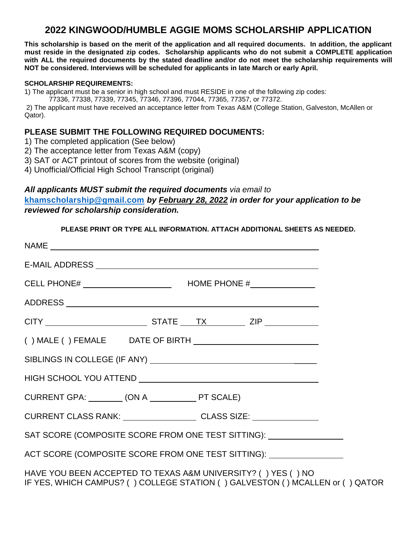# **2022 KINGWOOD/HUMBLE AGGIE MOMS SCHOLARSHIP APPLICATION**

**This scholarship is based on the merit of the application and all required documents. In addition, the applicant must reside in the designated zip codes. Scholarship applicants who do not submit a COMPLETE application with ALL the required documents by the stated deadline and/or do not meet the scholarship requirements will NOT be considered. Interviews will be scheduled for applicants in late March or early April.** 

#### **SCHOLARSHIP REQUIREMENTS:**

1) The applicant must be a senior in high school and must RESIDE in one of the following zip codes:

77336, 77338, 77339, 77345, 77346, 77396, 77044, 77365, 77357, or 77372.

2) The applicant must have received an acceptance letter from Texas A&M (College Station, Galveston, McAllen or Qator).

#### **PLEASE SUBMIT THE FOLLOWING REQUIRED DOCUMENTS:**

- 1) The completed application (See below)
- 2) The acceptance letter from Texas A&M (copy)
- 3) SAT or ACT printout of scores from the website (original)
- 4) Unofficial/Official High School Transcript (original)

### *All applicants MUST submit the required documents via email to* **[khamscholarship@gmail.com](mailto:khamscholarship@gmail.com)** *by February 28, 2022 in order for your application to be reviewed for scholarship consideration.*

#### **PLEASE PRINT OR TYPE ALL INFORMATION. ATTACH ADDITIONAL SHEETS AS NEEDED.**

| CURRENT CLASS RANK: ____________________CLASS SIZE: ____________________________ |                                                                                  |
|----------------------------------------------------------------------------------|----------------------------------------------------------------------------------|
|                                                                                  | SAT SCORE (COMPOSITE SCORE FROM ONE TEST SITTING): _____________________________ |
|                                                                                  | ACT SCORE (COMPOSITE SCORE FROM ONE TEST SITTING): _____________________________ |
| HAVE YOU BEEN ACCEPTED TO TEXAS A&M UNIVERSITY? () YES () NO                     | IF YES, WHICH CAMPUS? ( ) COLLEGE STATION ( ) GALVESTON ( ) MCALLEN or ( ) QATOR |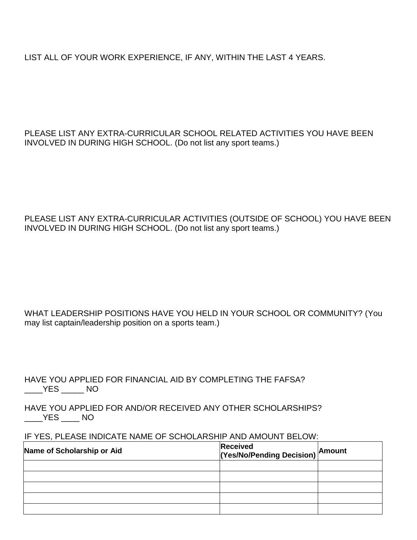LIST ALL OF YOUR WORK EXPERIENCE, IF ANY, WITHIN THE LAST 4 YEARS.

PLEASE LIST ANY EXTRA-CURRICULAR SCHOOL RELATED ACTIVITIES YOU HAVE BEEN INVOLVED IN DURING HIGH SCHOOL. (Do not list any sport teams.)

PLEASE LIST ANY EXTRA-CURRICULAR ACTIVITIES (OUTSIDE OF SCHOOL) YOU HAVE BEEN INVOLVED IN DURING HIGH SCHOOL. (Do not list any sport teams.)

WHAT LEADERSHIP POSITIONS HAVE YOU HELD IN YOUR SCHOOL OR COMMUNITY? (You may list captain/leadership position on a sports team.)

HAVE YOU APPLIED FOR FINANCIAL AID BY COMPLETING THE FAFSA?  $\rule{1em}{0.15mm}$   $\frac{\text{YES}}{\text{2em}}$  NO

HAVE YOU APPLIED FOR AND/OR RECEIVED ANY OTHER SCHOLARSHIPS?  $YES$  NO

IF YES, PLEASE INDICATE NAME OF SCHOLARSHIP AND AMOUNT BELOW:

| Name of Scholarship or Aid | <b>Received</b><br>(Yes/No/Pending Decision) <b>Amount</b> |  |
|----------------------------|------------------------------------------------------------|--|
|                            |                                                            |  |
|                            |                                                            |  |
|                            |                                                            |  |
|                            |                                                            |  |
|                            |                                                            |  |